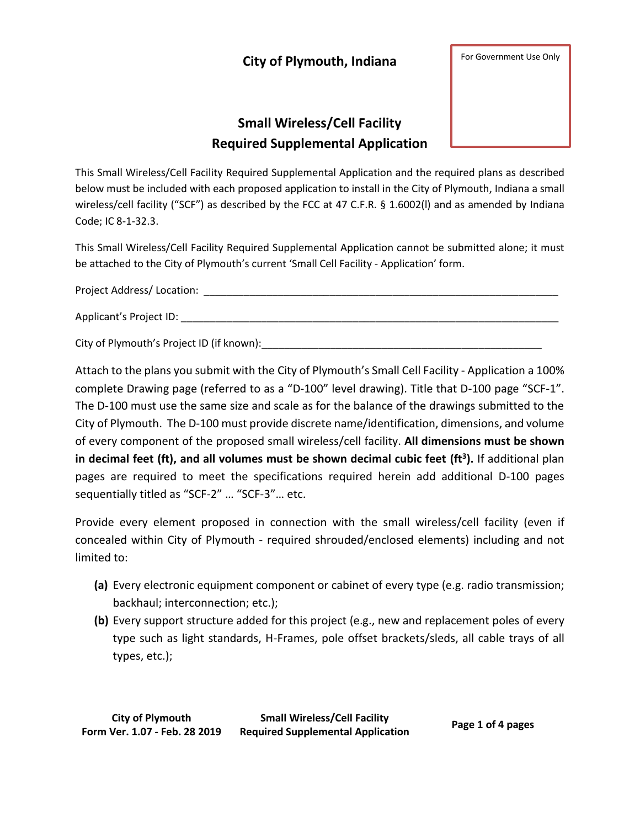## **City of Plymouth, Indiana**

For Government Use Only

## **Small Wireless/Cell Facility Required Supplemental Application**



This Small Wireless/Cell Facility Required Supplemental Application and the required plans as described below must be included with each proposed application to install in the City of Plymouth, Indiana a small wireless/cell facility ("SCF") as described by the FCC at 47 C.F.R. § 1.6002(l) and as amended by Indiana Code; IC 8-1-32.3.

This Small Wireless/Cell Facility Required Supplemental Application cannot be submitted alone; it must be attached to the City of Plymouth's current 'Small Cell Facility - Application' form.

Project Address/ Location: \_\_\_\_\_\_\_\_\_\_\_\_\_\_\_\_\_\_\_\_\_\_\_\_\_\_\_\_\_\_\_\_\_\_\_\_\_\_\_\_\_\_\_\_\_\_\_\_\_\_\_\_\_\_\_\_\_\_\_\_\_\_

Applicant's Project ID:

City of Plymouth's Project ID (if known):\_\_\_\_\_\_\_\_\_\_\_\_\_\_\_\_\_\_\_\_\_\_\_\_\_\_\_\_\_\_\_\_\_\_\_\_\_\_\_\_\_\_\_\_\_\_\_\_\_

Attach to the plans you submit with the City of Plymouth's Small Cell Facility - Application a 100% complete Drawing page (referred to as a "D-100" level drawing). Title that D-100 page "SCF-1". The D-100 must use the same size and scale as for the balance of the drawings submitted to the City of Plymouth. The D-100 must provide discrete name/identification, dimensions, and volume of every component of the proposed small wireless/cell facility. **All dimensions must be shown in decimal feet (ft), and all volumes must be shown decimal cubic feet (ft<sup>3</sup> ).** If additional plan pages are required to meet the specifications required herein add additional D-100 pages sequentially titled as "SCF-2" … "SCF-3"… etc.

Provide every element proposed in connection with the small wireless/cell facility (even if concealed within City of Plymouth - required shrouded/enclosed elements) including and not limited to:

- **(a)** Every electronic equipment component or cabinet of every type (e.g. radio transmission; backhaul; interconnection; etc.);
- **(b)** Every support structure added for this project (e.g., new and replacement poles of every type such as light standards, H-Frames, pole offset brackets/sleds, all cable trays of all types, etc.);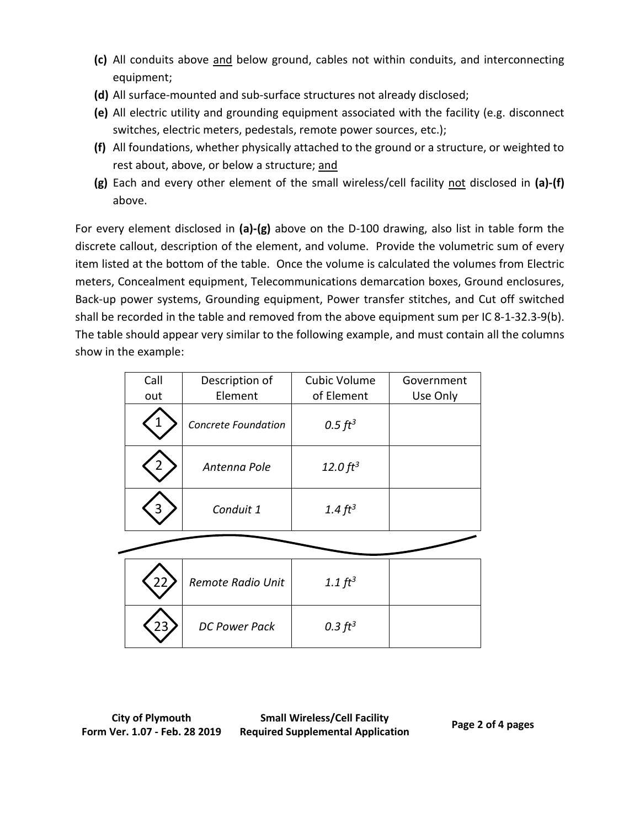- **(c)** All conduits above and below ground, cables not within conduits, and interconnecting equipment;
- **(d)** All surface-mounted and sub-surface structures not already disclosed;
- **(e)** All electric utility and grounding equipment associated with the facility (e.g. disconnect switches, electric meters, pedestals, remote power sources, etc.);
- **(f)** All foundations, whether physically attached to the ground or a structure, or weighted to rest about, above, or below a structure; and
- **(g)** Each and every other element of the small wireless/cell facility not disclosed in **(a)-(f)** above.

For every element disclosed in **(a)-(g)** above on the D-100 drawing, also list in table form the discrete callout, description of the element, and volume. Provide the volumetric sum of every item listed at the bottom of the table. Once the volume is calculated the volumes from Electric meters, Concealment equipment, Telecommunications demarcation boxes, Ground enclosures, Back-up power systems, Grounding equipment, Power transfer stitches, and Cut off switched shall be recorded in the table and removed from the above equipment sum per IC 8-1-32.3-9(b). The table should appear very similar to the following example, and must contain all the columns show in the example:

| Call | Description of             | Cubic Volume  | Government |
|------|----------------------------|---------------|------------|
| out  | Element                    | of Element    | Use Only   |
|      | <b>Concrete Foundation</b> | $0.5 \, ft^3$ |            |
|      | Antenna Pole               | 12.0 $ft^3$   |            |
|      | Conduit 1                  | 1.4 $ft^3$    |            |

| Remote Radio Unit    | 1.1 $ft^3$ |  |
|----------------------|------------|--|
| <b>DC Power Pack</b> | 0.3 $ft^3$ |  |

**Small Wireless/Cell Facility Required Supplemental Application Page 2 of 4 pages**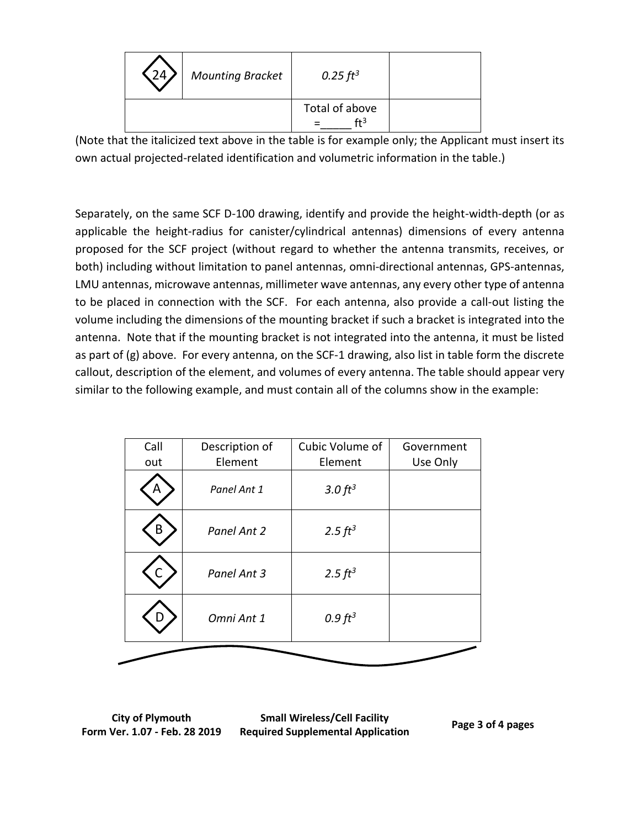| 24 <sub>2</sub> | <b>Mounting Bracket</b> | $0.25 \, \text{ft}^3$     |  |
|-----------------|-------------------------|---------------------------|--|
|                 |                         | Total of above<br>$f + 3$ |  |

(Note that the italicized text above in the table is for example only; the Applicant must insert its own actual projected-related identification and volumetric information in the table.)

Separately, on the same SCF D-100 drawing, identify and provide the height-width-depth (or as applicable the height-radius for canister/cylindrical antennas) dimensions of every antenna proposed for the SCF project (without regard to whether the antenna transmits, receives, or both) including without limitation to panel antennas, omni-directional antennas, GPS-antennas, LMU antennas, microwave antennas, millimeter wave antennas, any every other type of antenna to be placed in connection with the SCF. For each antenna, also provide a call-out listing the volume including the dimensions of the mounting bracket if such a bracket is integrated into the antenna. Note that if the mounting bracket is not integrated into the antenna, it must be listed as part of (g) above. For every antenna, on the SCF-1 drawing, also list in table form the discrete callout, description of the element, and volumes of every antenna. The table should appear very similar to the following example, and must contain all of the columns show in the example:

| Call | Description of | Cubic Volume of     | Government |
|------|----------------|---------------------|------------|
| out  | Element        | Element             | Use Only   |
|      | Panel Ant 1    | 3.0 $ft^3$          |            |
| В    | Panel Ant 2    | 2.5 $ft^3$          |            |
|      | Panel Ant 3    | 2.5 $ft^3$          |            |
|      | Omni Ant 1     | 0.9 ft <sup>3</sup> |            |
|      |                |                     |            |

**City of Plymouth Form Ver. 1.07 - Feb. 28 2019**

**Small Wireless/Cell Facility Required Supplemental Application Page 3 of 4 pages**